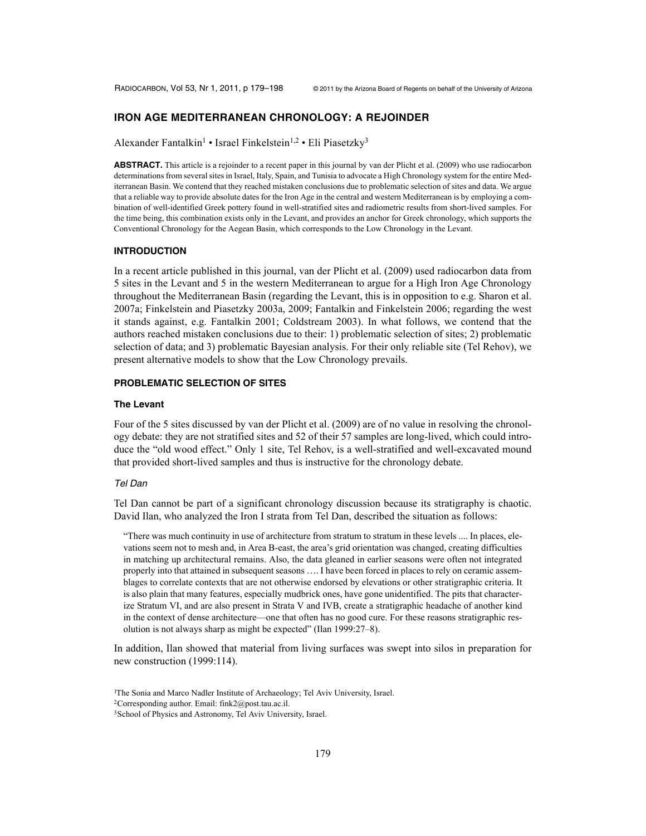# **IRON AGE MEDITERRANEAN CHRONOLOGY: A REJOINDER**

Alexander Fantalkin<sup>1</sup> • Israel Finkelstein<sup>1,2</sup> • Eli Piasetzky<sup>3</sup>

**ABSTRACT.** This article is a rejoinder to a recent paper in this journal by van der Plicht et al. (2009) who use radiocarbon determinations from several sites in Israel, Italy, Spain, and Tunisia to advocate a High Chronology system for the entire Mediterranean Basin. We contend that they reached mistaken conclusions due to problematic selection of sites and data. We argue that a reliable way to provide absolute dates for the Iron Age in the central and western Mediterranean is by employing a combination of well-identified Greek pottery found in well-stratified sites and radiometric results from short-lived samples. For the time being, this combination exists only in the Levant, and provides an anchor for Greek chronology, which supports the Conventional Chronology for the Aegean Basin, which corresponds to the Low Chronology in the Levant.

#### **INTRODUCTION**

In a recent article published in this journal, van der Plicht et al. (2009) used radiocarbon data from 5 sites in the Levant and 5 in the western Mediterranean to argue for a High Iron Age Chronology throughout the Mediterranean Basin (regarding the Levant, this is in opposition to e.g. Sharon et al. 2007a; Finkelstein and Piasetzky 2003a, 2009; Fantalkin and Finkelstein 2006; regarding the west it stands against, e.g. Fantalkin 2001; Coldstream 2003). In what follows, we contend that the authors reached mistaken conclusions due to their: 1) problematic selection of sites; 2) problematic selection of data; and 3) problematic Bayesian analysis. For their only reliable site (Tel Rehov), we present alternative models to show that the Low Chronology prevails.

# **PROBLEMATIC SELECTION OF SITES**

#### **The Levant**

Four of the 5 sites discussed by van der Plicht et al. (2009) are of no value in resolving the chronology debate: they are not stratified sites and 52 of their 57 samples are long-lived, which could introduce the "old wood effect." Only 1 site, Tel Rehov, is a well-stratified and well-excavated mound that provided short-lived samples and thus is instructive for the chronology debate.

#### *Tel Dan*

Tel Dan cannot be part of a significant chronology discussion because its stratigraphy is chaotic. David Ilan, who analyzed the Iron I strata from Tel Dan, described the situation as follows:

"There was much continuity in use of architecture from stratum to stratum in these levels .... In places, elevations seem not to mesh and, in Area B-east, the area's grid orientation was changed, creating difficulties in matching up architectural remains. Also, the data gleaned in earlier seasons were often not integrated properly into that attained in subsequent seasons …. I have been forced in places to rely on ceramic assemblages to correlate contexts that are not otherwise endorsed by elevations or other stratigraphic criteria. It is also plain that many features, especially mudbrick ones, have gone unidentified. The pits that characterize Stratum VI, and are also present in Strata V and IVB, create a stratigraphic headache of another kind in the context of dense architecture—one that often has no good cure. For these reasons stratigraphic resolution is not always sharp as might be expected" (Ilan 1999:27–8).

In addition, Ilan showed that material from living surfaces was swept into silos in preparation for new construction (1999:114).

<sup>1</sup>The Sonia and Marco Nadler Institute of Archaeology; Tel Aviv University, Israel. 2Corresponding author. Email: fink2@post.tau.ac.il.

<sup>3</sup>School of Physics and Astronomy, Tel Aviv University, Israel.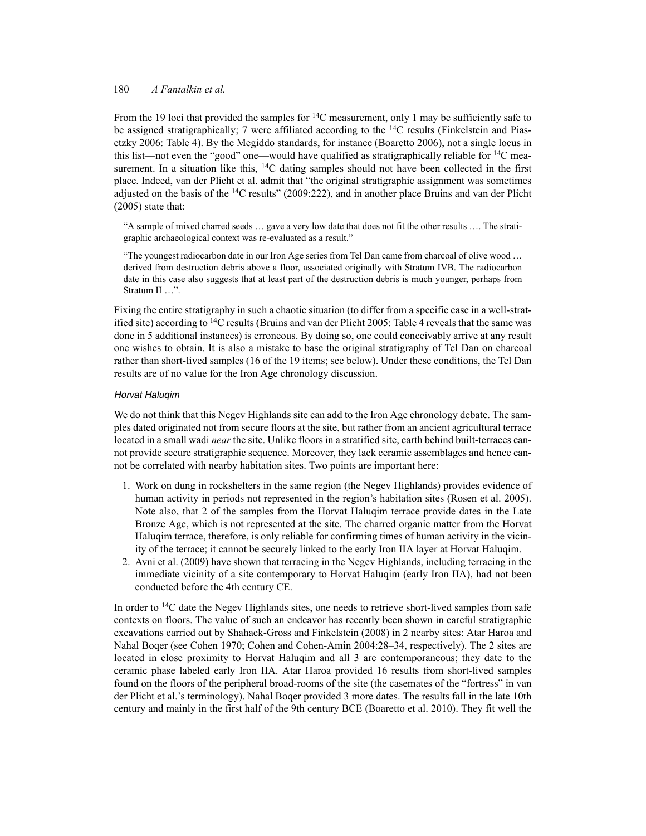From the 19 loci that provided the samples for  $^{14}$ C measurement, only 1 may be sufficiently safe to be assigned stratigraphically; 7 were affiliated according to the  $14C$  results (Finkelstein and Piasetzky 2006: Table 4). By the Megiddo standards, for instance (Boaretto 2006), not a single locus in this list—not even the "good" one—would have qualified as stratigraphically reliable for 14C measurement. In a situation like this, <sup>14</sup>C dating samples should not have been collected in the first place. Indeed, van der Plicht et al. admit that "the original stratigraphic assignment was sometimes adjusted on the basis of the  $14C$  results" (2009:222), and in another place Bruins and van der Plicht  $(2005)$  state that:

"A sample of mixed charred seeds … gave a very low date that does not fit the other results …. The stratigraphic archaeological context was re-evaluated as a result."

"The youngest radiocarbon date in our Iron Age series from Tel Dan came from charcoal of olive wood … derived from destruction debris above a floor, associated originally with Stratum IVB. The radiocarbon date in this case also suggests that at least part of the destruction debris is much younger, perhaps from Stratum II …".

Fixing the entire stratigraphy in such a chaotic situation (to differ from a specific case in a well-stratified site) according to <sup>14</sup>C results (Bruins and van der Plicht 2005: Table 4 reveals that the same was done in 5 additional instances) is erroneous. By doing so, one could conceivably arrive at any result one wishes to obtain. It is also a mistake to base the original stratigraphy of Tel Dan on charcoal rather than short-lived samples (16 of the 19 items; see below). Under these conditions, the Tel Dan results are of no value for the Iron Age chronology discussion.

## *Horvat Haluqim*

We do not think that this Negev Highlands site can add to the Iron Age chronology debate. The samples dated originated not from secure floors at the site, but rather from an ancient agricultural terrace located in a small wadi *near* the site. Unlike floors in a stratified site, earth behind built-terraces cannot provide secure stratigraphic sequence. Moreover, they lack ceramic assemblages and hence cannot be correlated with nearby habitation sites. Two points are important here:

- 1. Work on dung in rockshelters in the same region (the Negev Highlands) provides evidence of human activity in periods not represented in the region's habitation sites (Rosen et al. 2005). Note also, that 2 of the samples from the Horvat Haluqim terrace provide dates in the Late Bronze Age, which is not represented at the site. The charred organic matter from the Horvat Haluqim terrace, therefore, is only reliable for confirming times of human activity in the vicinity of the terrace; it cannot be securely linked to the early Iron IIA layer at Horvat Haluqim.
- 2. Avni et al. (2009) have shown that terracing in the Negev Highlands, including terracing in the immediate vicinity of a site contemporary to Horvat Haluqim (early Iron IIA), had not been conducted before the 4th century CE.

In order to <sup>14</sup>C date the Negev Highlands sites, one needs to retrieve short-lived samples from safe contexts on floors. The value of such an endeavor has recently been shown in careful stratigraphic excavations carried out by Shahack-Gross and Finkelstein (2008) in 2 nearby sites: Atar Haroa and Nahal Boqer (see Cohen 1970; Cohen and Cohen-Amin 2004:28–34, respectively). The 2 sites are located in close proximity to Horvat Haluqim and all 3 are contemporaneous; they date to the ceramic phase labeled early Iron IIA. Atar Haroa provided 16 results from short-lived samples found on the floors of the peripheral broad-rooms of the site (the casemates of the "fortress" in van der Plicht et al.'s terminology). Nahal Boqer provided 3 more dates. The results fall in the late 10th century and mainly in the first half of the 9th century BCE (Boaretto et al. 2010). They fit well the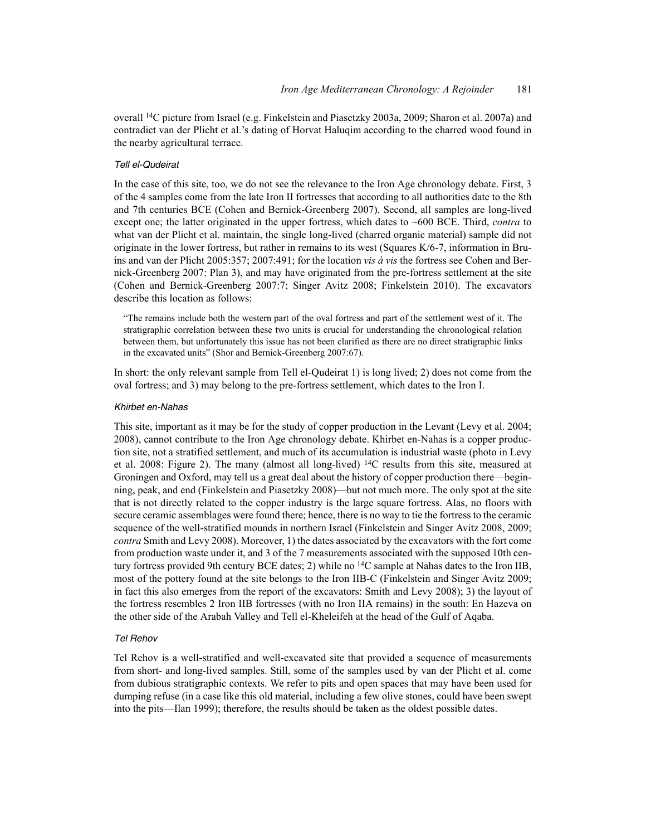overall 14C picture from Israel (e.g. Finkelstein and Piasetzky 2003a, 2009; Sharon et al. 2007a) and contradict van der Plicht et al.'s dating of Horvat Haluqim according to the charred wood found in the nearby agricultural terrace.

### *Tell el-Qudeirat*

In the case of this site, too, we do not see the relevance to the Iron Age chronology debate. First, 3 of the 4 samples come from the late Iron II fortresses that according to all authorities date to the 8th and 7th centuries BCE (Cohen and Bernick-Greenberg 2007). Second, all samples are long-lived except one; the latter originated in the upper fortress, which dates to ~600 BCE. Third, *contra* to what van der Plicht et al. maintain, the single long-lived (charred organic material) sample did not originate in the lower fortress, but rather in remains to its west (Squares K/6-7, information in Bruins and van der Plicht 2005:357; 2007:491; for the location *vis à vis* the fortress see Cohen and Bernick-Greenberg 2007: Plan 3), and may have originated from the pre-fortress settlement at the site (Cohen and Bernick-Greenberg 2007:7; Singer Avitz 2008; Finkelstein 2010). The excavators describe this location as follows:

"The remains include both the western part of the oval fortress and part of the settlement west of it. The stratigraphic correlation between these two units is crucial for understanding the chronological relation between them, but unfortunately this issue has not been clarified as there are no direct stratigraphic links in the excavated units" (Shor and Bernick-Greenberg 2007:67).

In short: the only relevant sample from Tell el-Qudeirat 1) is long lived; 2) does not come from the oval fortress; and 3) may belong to the pre-fortress settlement, which dates to the Iron I.

### *Khirbet en-Nahas*

This site, important as it may be for the study of copper production in the Levant (Levy et al. 2004; 2008), cannot contribute to the Iron Age chronology debate. Khirbet en-Nahas is a copper production site, not a stratified settlement, and much of its accumulation is industrial waste (photo in Levy et al. 2008: Figure 2). The many (almost all long-lived) <sup>14</sup>C results from this site, measured at Groningen and Oxford, may tell us a great deal about the history of copper production there—beginning, peak, and end (Finkelstein and Piasetzky 2008)—but not much more. The only spot at the site that is not directly related to the copper industry is the large square fortress. Alas, no floors with secure ceramic assemblages were found there; hence, there is no way to tie the fortress to the ceramic sequence of the well-stratified mounds in northern Israel (Finkelstein and Singer Avitz 2008, 2009; *contra* Smith and Levy 2008). Moreover, 1) the dates associated by the excavators with the fort come from production waste under it, and 3 of the 7 measurements associated with the supposed 10th century fortress provided 9th century BCE dates; 2) while no 14C sample at Nahas dates to the Iron IIB, most of the pottery found at the site belongs to the Iron IIB-C (Finkelstein and Singer Avitz 2009; in fact this also emerges from the report of the excavators: Smith and Levy 2008); 3) the layout of the fortress resembles 2 Iron IIB fortresses (with no Iron IIA remains) in the south: En Hazeva on the other side of the Arabah Valley and Tell el-Kheleifeh at the head of the Gulf of Aqaba.

#### *Tel Rehov*

Tel Rehov is a well-stratified and well-excavated site that provided a sequence of measurements from short- and long-lived samples. Still, some of the samples used by van der Plicht et al. come from dubious stratigraphic contexts. We refer to pits and open spaces that may have been used for dumping refuse (in a case like this old material, including a few olive stones, could have been swept into the pits—Ilan 1999); therefore, the results should be taken as the oldest possible dates.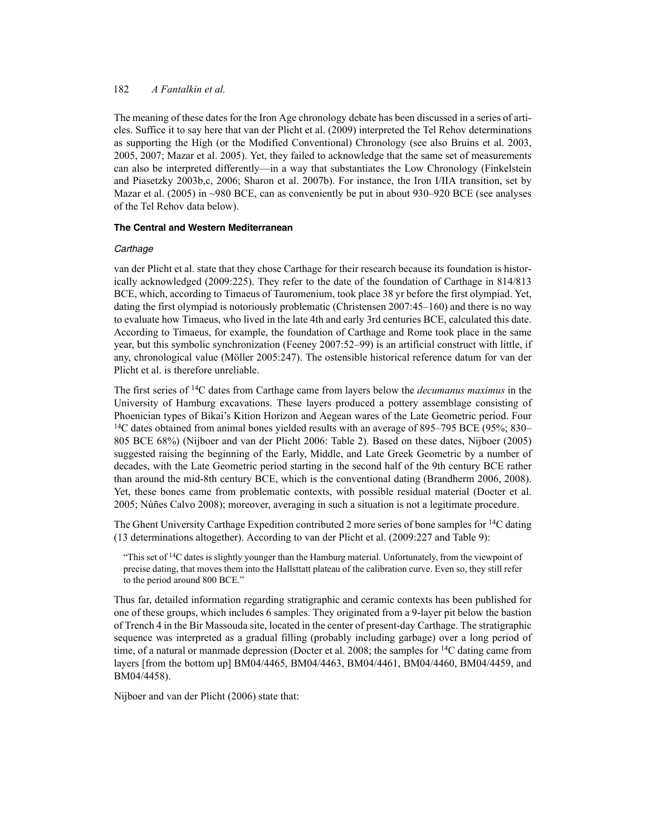The meaning of these dates for the Iron Age chronology debate has been discussed in a series of articles. Suffice it to say here that van der Plicht et al. (2009) interpreted the Tel Rehov determinations as supporting the High (or the Modified Conventional) Chronology (see also Bruins et al. 2003, 2005, 2007; Mazar et al. 2005). Yet, they failed to acknowledge that the same set of measurements can also be interpreted differently—in a way that substantiates the Low Chronology (Finkelstein and Piasetzky 2003b,c, 2006; Sharon et al. 2007b). For instance, the Iron I/IIA transition, set by Mazar et al. (2005) in ~980 BCE, can as conveniently be put in about 930–920 BCE (see analyses of the Tel Rehov data below).

## **The Central and Western Mediterranean**

## *Carthage*

van der Plicht et al. state that they chose Carthage for their research because its foundation is historically acknowledged (2009:225). They refer to the date of the foundation of Carthage in 814/813 BCE, which, according to Timaeus of Tauromenium, took place 38 yr before the first olympiad. Yet, dating the first olympiad is notoriously problematic (Christensen 2007:45–160) and there is no way to evaluate how Timaeus, who lived in the late 4th and early 3rd centuries BCE, calculated this date. According to Timaeus, for example, the foundation of Carthage and Rome took place in the same year, but this symbolic synchronization (Feeney 2007:52–99) is an artificial construct with little, if any, chronological value (Möller 2005:247). The ostensible historical reference datum for van der Plicht et al. is therefore unreliable.

The first series of 14C dates from Carthage came from layers below the *decumanus maximus* in the University of Hamburg excavations. These layers produced a pottery assemblage consisting of Phoenician types of Bikai's Kition Horizon and Aegean wares of the Late Geometric period. Four <sup>14</sup>C dates obtained from animal bones yielded results with an average of 895–795 BCE (95%; 830– 805 BCE 68%) (Nijboer and van der Plicht 2006: Table 2). Based on these dates, Nijboer (2005) suggested raising the beginning of the Early, Middle, and Late Greek Geometric by a number of decades, with the Late Geometric period starting in the second half of the 9th century BCE rather than around the mid-8th century BCE, which is the conventional dating (Brandherm 2006, 2008). Yet, these bones came from problematic contexts, with possible residual material (Docter et al. 2005; Núñes Calvo 2008); moreover, averaging in such a situation is not a legitimate procedure.

The Ghent University Carthage Expedition contributed 2 more series of bone samples for 14C dating (13 determinations altogether). According to van der Plicht et al. (2009:227 and Table 9):

"This set of  $14C$  dates is slightly younger than the Hamburg material. Unfortunately, from the viewpoint of precise dating, that moves them into the Hallsttatt plateau of the calibration curve. Even so, they still refer to the period around 800 BCE."

Thus far, detailed information regarding stratigraphic and ceramic contexts has been published for one of these groups, which includes 6 samples. They originated from a 9-layer pit below the bastion of Trench 4 in the Bir Massouda site, located in the center of present-day Carthage. The stratigraphic sequence was interpreted as a gradual filling (probably including garbage) over a long period of time, of a natural or manmade depression (Docter et al. 2008; the samples for <sup>14</sup>C dating came from layers [from the bottom up] BM04/4465, BM04/4463, BM04/4461, BM04/4460, BM04/4459, and BM04/4458).

Nijboer and van der Plicht (2006) state that: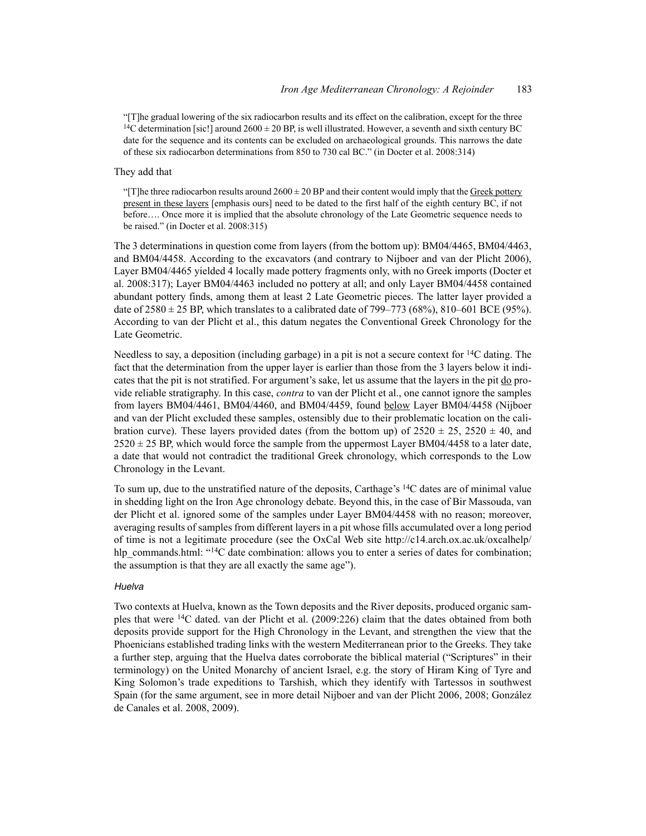"[T]he gradual lowering of the six radiocarbon results and its effect on the calibration, except for the three <sup>14</sup>C determination [sic!] around  $2600 \pm 20$  BP, is well illustrated. However, a seventh and sixth century BC date for the sequence and its contents can be excluded on archaeological grounds. This narrows the date of these six radiocarbon determinations from 850 to 730 cal BC." (in Docter et al. 2008:314)

#### They add that

"[T]he three radiocarbon results around  $2600 \pm 20$  BP and their content would imply that the Greek pottery present in these layers [emphasis ours] need to be dated to the first half of the eighth century BC, if not before…. Once more it is implied that the absolute chronology of the Late Geometric sequence needs to be raised." (in Docter et al. 2008:315)

The 3 determinations in question come from layers (from the bottom up): BM04/4465, BM04/4463, and BM04/4458. According to the excavators (and contrary to Nijboer and van der Plicht 2006), Layer BM04/4465 yielded 4 locally made pottery fragments only, with no Greek imports (Docter et al. 2008:317); Layer BM04/4463 included no pottery at all; and only Layer BM04/4458 contained abundant pottery finds, among them at least 2 Late Geometric pieces. The latter layer provided a date of  $2580 \pm 25$  BP, which translates to a calibrated date of 799–773 (68%), 810–601 BCE (95%). According to van der Plicht et al., this datum negates the Conventional Greek Chronology for the Late Geometric.

Needless to say, a deposition (including garbage) in a pit is not a secure context for  $14C$  dating. The fact that the determination from the upper layer is earlier than those from the 3 layers below it indicates that the pit is not stratified. For argument's sake, let us assume that the layers in the pit do provide reliable stratigraphy. In this case, *contra* to van der Plicht et al., one cannot ignore the samples from layers BM04/4461, BM04/4460, and BM04/4459, found below Layer BM04/4458 (Nijboer and van der Plicht excluded these samples, ostensibly due to their problematic location on the calibration curve). These layers provided dates (from the bottom up) of  $2520 \pm 25$ ,  $2520 \pm 40$ , and  $2520 \pm 25$  BP, which would force the sample from the uppermost Layer BM04/4458 to a later date, a date that would not contradict the traditional Greek chronology, which corresponds to the Low Chronology in the Levant.

To sum up, due to the unstratified nature of the deposits, Carthage's 14C dates are of minimal value in shedding light on the Iron Age chronology debate. Beyond this, in the case of Bir Massouda, van der Plicht et al. ignored some of the samples under Layer BM04/4458 with no reason; moreover, averaging results of samples from different layers in a pit whose fills accumulated over a long period of time is not a legitimate procedure (see the OxCal Web site http://c14.arch.ox.ac.uk/oxcalhelp/ hlp\_commands.html: "<sup>14</sup>C date combination: allows you to enter a series of dates for combination; the assumption is that they are all exactly the same age").

#### *Huelva*

Two contexts at Huelva, known as the Town deposits and the River deposits, produced organic samples that were 14C dated. van der Plicht et al. (2009:226) claim that the dates obtained from both deposits provide support for the High Chronology in the Levant, and strengthen the view that the Phoenicians established trading links with the western Mediterranean prior to the Greeks. They take a further step, arguing that the Huelva dates corroborate the biblical material ("Scriptures" in their terminology) on the United Monarchy of ancient Israel, e.g. the story of Hiram King of Tyre and King Solomon's trade expeditions to Tarshish, which they identify with Tartessos in southwest Spain (for the same argument, see in more detail Nijboer and van der Plicht 2006, 2008; González de Canales et al. 2008, 2009).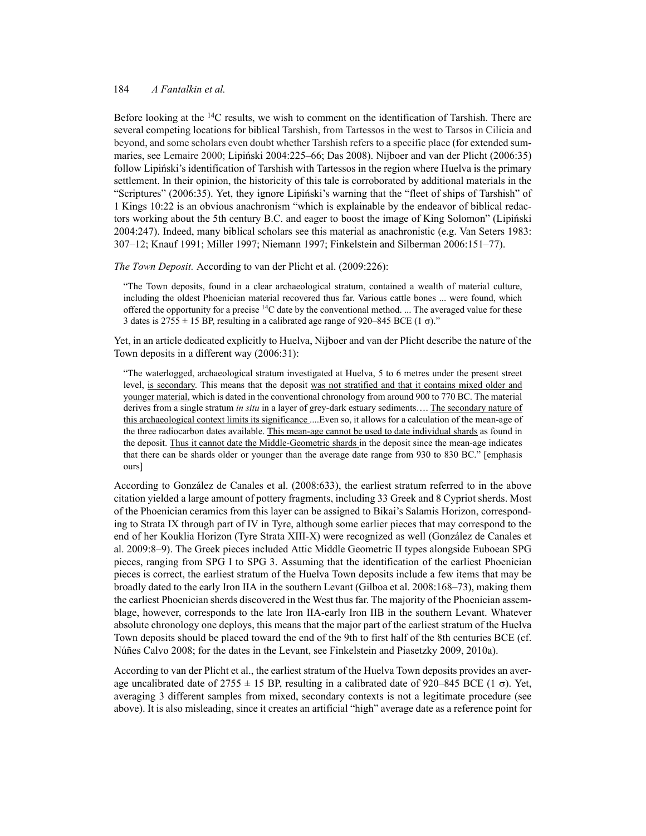Before looking at the <sup>14</sup>C results, we wish to comment on the identification of Tarshish. There are several competing locations for biblical Tarshish, from Tartessos in the west to Tarsos in Cilicia and beyond, and some scholars even doubt whether Tarshish refers to a specific place (for extended summaries, see Lemaire 2000; Lipiński 2004:225–66; Das 2008). Nijboer and van der Plicht (2006:35) follow Lipiński's identification of Tarshish with Tartessos in the region where Huelva is the primary settlement. In their opinion, the historicity of this tale is corroborated by additional materials in the "Scriptures" (2006:35). Yet, they ignore Lipiński's warning that the "fleet of ships of Tarshish" of 1 Kings 10:22 is an obvious anachronism "which is explainable by the endeavor of biblical redactors working about the 5th century B.C. and eager to boost the image of King Solomon" (Lipiński 2004:247). Indeed, many biblical scholars see this material as anachronistic (e.g. Van Seters 1983: 307–12; Knauf 1991; Miller 1997; Niemann 1997; Finkelstein and Silberman 2006:151–77).

#### *The Town Deposit.* According to van der Plicht et al. (2009:226):

"The Town deposits, found in a clear archaeological stratum, contained a wealth of material culture, including the oldest Phoenician material recovered thus far. Various cattle bones ... were found, which offered the opportunity for a precise  $14C$  date by the conventional method. ... The averaged value for these 3 dates is  $2755 \pm 15$  BP, resulting in a calibrated age range of 920–845 BCE (1  $\sigma$ )."

Yet, in an article dedicated explicitly to Huelva, Nijboer and van der Plicht describe the nature of the Town deposits in a different way (2006:31):

"The waterlogged, archaeological stratum investigated at Huelva, 5 to 6 metres under the present street level, is secondary. This means that the deposit was not stratified and that it contains mixed older and younger material, which is dated in the conventional chronology from around 900 to 770 BC. The material derives from a single stratum *in situ* in a layer of grey-dark estuary sediments…. The secondary nature of this archaeological context limits its significance ....Even so, it allows for a calculation of the mean-age of the three radiocarbon dates available. This mean-age cannot be used to date individual shards as found in the deposit. Thus it cannot date the Middle-Geometric shards in the deposit since the mean-age indicates that there can be shards older or younger than the average date range from 930 to 830 BC." [emphasis ours]

According to González de Canales et al. (2008:633), the earliest stratum referred to in the above citation yielded a large amount of pottery fragments, including 33 Greek and 8 Cypriot sherds. Most of the Phoenician ceramics from this layer can be assigned to Bikai's Salamis Horizon, corresponding to Strata IX through part of IV in Tyre, although some earlier pieces that may correspond to the end of her Kouklia Horizon (Tyre Strata XIII-X) were recognized as well (González de Canales et al. 2009:8–9). The Greek pieces included Attic Middle Geometric II types alongside Euboean SPG pieces, ranging from SPG I to SPG 3. Assuming that the identification of the earliest Phoenician pieces is correct, the earliest stratum of the Huelva Town deposits include a few items that may be broadly dated to the early Iron IIA in the southern Levant (Gilboa et al. 2008:168–73), making them the earliest Phoenician sherds discovered in the West thus far. The majority of the Phoenician assemblage, however, corresponds to the late Iron IIA-early Iron IIB in the southern Levant. Whatever absolute chronology one deploys, this means that the major part of the earliest stratum of the Huelva Town deposits should be placed toward the end of the 9th to first half of the 8th centuries BCE (cf. Núñes Calvo 2008; for the dates in the Levant, see Finkelstein and Piasetzky 2009, 2010a).

According to van der Plicht et al., the earliest stratum of the Huelva Town deposits provides an average uncalibrated date of  $2755 \pm 15$  BP, resulting in a calibrated date of 920–845 BCE (1  $\sigma$ ). Yet, averaging 3 different samples from mixed, secondary contexts is not a legitimate procedure (see above). It is also misleading, since it creates an artificial "high" average date as a reference point for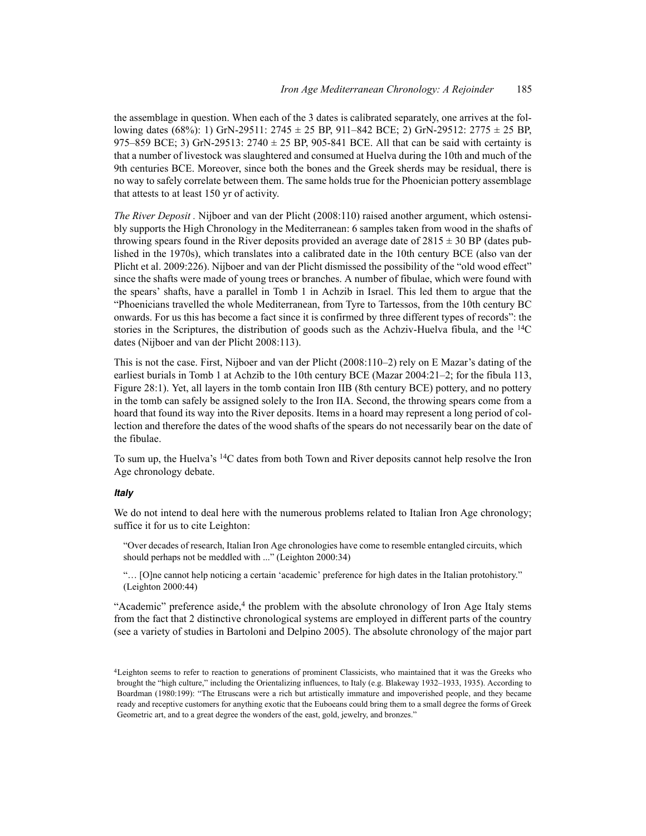the assemblage in question. When each of the 3 dates is calibrated separately, one arrives at the following dates (68%): 1) GrN-29511:  $2745 \pm 25$  BP, 911–842 BCE; 2) GrN-29512:  $2775 \pm 25$  BP, 975–859 BCE; 3) GrN-29513: 2740  $\pm$  25 BP, 905-841 BCE. All that can be said with certainty is that a number of livestock was slaughtered and consumed at Huelva during the 10th and much of the 9th centuries BCE. Moreover, since both the bones and the Greek sherds may be residual, there is no way to safely correlate between them. The same holds true for the Phoenician pottery assemblage that attests to at least 150 yr of activity.

*The River Deposit .* Nijboer and van der Plicht (2008:110) raised another argument, which ostensibly supports the High Chronology in the Mediterranean: 6 samples taken from wood in the shafts of throwing spears found in the River deposits provided an average date of  $2815 \pm 30$  BP (dates published in the 1970s), which translates into a calibrated date in the 10th century BCE (also van der Plicht et al. 2009:226). Nijboer and van der Plicht dismissed the possibility of the "old wood effect" since the shafts were made of young trees or branches. A number of fibulae, which were found with the spears' shafts, have a parallel in Tomb 1 in Achzib in Israel. This led them to argue that the "Phoenicians travelled the whole Mediterranean, from Tyre to Tartessos, from the 10th century BC onwards. For us this has become a fact since it is confirmed by three different types of records": the stories in the Scriptures, the distribution of goods such as the Achziv-Huelva fibula, and the  $^{14}C$ dates (Nijboer and van der Plicht 2008:113).

This is not the case. First, Nijboer and van der Plicht (2008:110–2) rely on E Mazar's dating of the earliest burials in Tomb 1 at Achzib to the 10th century BCE (Mazar 2004:21–2; for the fibula 113, Figure 28:1). Yet, all layers in the tomb contain Iron IIB (8th century BCE) pottery, and no pottery in the tomb can safely be assigned solely to the Iron IIA. Second, the throwing spears come from a hoard that found its way into the River deposits. Items in a hoard may represent a long period of collection and therefore the dates of the wood shafts of the spears do not necessarily bear on the date of the fibulae.

To sum up, the Huelva's 14C dates from both Town and River deposits cannot help resolve the Iron Age chronology debate.

# *Italy*

We do not intend to deal here with the numerous problems related to Italian Iron Age chronology; suffice it for us to cite Leighton:

"Over decades of research, Italian Iron Age chronologies have come to resemble entangled circuits, which should perhaps not be meddled with ..." (Leighton 2000:34)

"… [O]ne cannot help noticing a certain 'academic' preference for high dates in the Italian protohistory." (Leighton 2000:44)

"Academic" preference aside, $4$  the problem with the absolute chronology of Iron Age Italy stems from the fact that 2 distinctive chronological systems are employed in different parts of the country (see a variety of studies in Bartoloni and Delpino 2005). The absolute chronology of the major part

<sup>4</sup>Leighton seems to refer to reaction to generations of prominent Classicists, who maintained that it was the Greeks who brought the "high culture," including the Orientalizing influences, to Italy (e.g. Blakeway 1932–1933, 1935). According to Boardman (1980:199): "The Etruscans were a rich but artistically immature and impoverished people, and they became ready and receptive customers for anything exotic that the Euboeans could bring them to a small degree the forms of Greek Geometric art, and to a great degree the wonders of the east, gold, jewelry, and bronzes."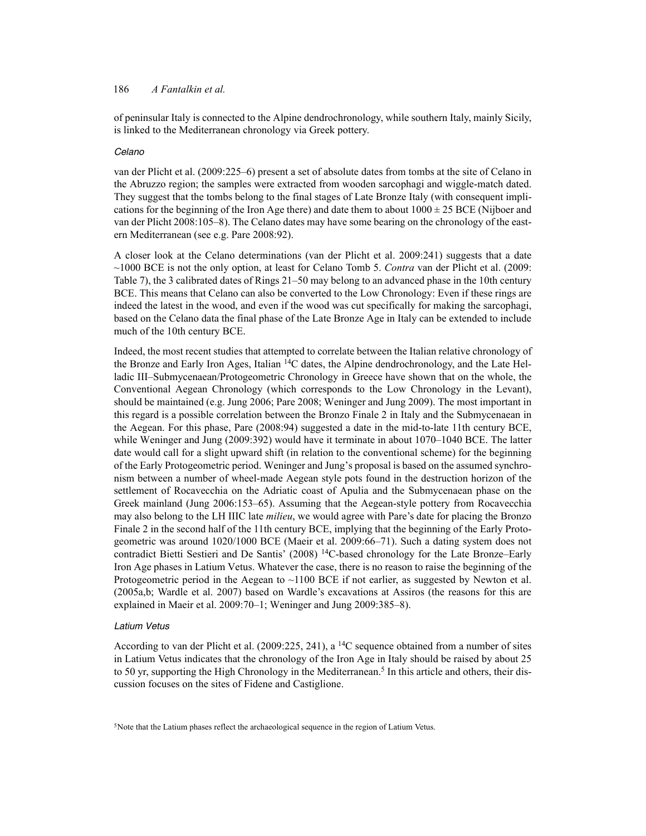of peninsular Italy is connected to the Alpine dendrochronology, while southern Italy, mainly Sicily, is linked to the Mediterranean chronology via Greek pottery.

## *Celano*

van der Plicht et al. (2009:225–6) present a set of absolute dates from tombs at the site of Celano in the Abruzzo region; the samples were extracted from wooden sarcophagi and wiggle-match dated. They suggest that the tombs belong to the final stages of Late Bronze Italy (with consequent implications for the beginning of the Iron Age there) and date them to about  $1000 \pm 25$  BCE (Nijboer and van der Plicht 2008:105–8). The Celano dates may have some bearing on the chronology of the eastern Mediterranean (see e.g. Pare 2008:92).

A closer look at the Celano determinations (van der Plicht et al. 2009:241) suggests that a date ~1000 BCE is not the only option, at least for Celano Tomb 5. *Contra* van der Plicht et al. (2009: Table 7), the 3 calibrated dates of Rings 21–50 may belong to an advanced phase in the 10th century BCE. This means that Celano can also be converted to the Low Chronology: Even if these rings are indeed the latest in the wood, and even if the wood was cut specifically for making the sarcophagi, based on the Celano data the final phase of the Late Bronze Age in Italy can be extended to include much of the 10th century BCE.

Indeed, the most recent studies that attempted to correlate between the Italian relative chronology of the Bronze and Early Iron Ages, Italian 14C dates, the Alpine dendrochronology, and the Late Helladic III–Submycenaean/Protogeometric Chronology in Greece have shown that on the whole, the Conventional Aegean Chronology (which corresponds to the Low Chronology in the Levant), should be maintained (e.g. Jung 2006; Pare 2008; Weninger and Jung 2009). The most important in this regard is a possible correlation between the Bronzo Finale 2 in Italy and the Submycenaean in the Aegean. For this phase, Pare (2008:94) suggested a date in the mid-to-late 11th century BCE, while Weninger and Jung (2009:392) would have it terminate in about 1070–1040 BCE. The latter date would call for a slight upward shift (in relation to the conventional scheme) for the beginning of the Early Protogeometric period. Weninger and Jung's proposal is based on the assumed synchronism between a number of wheel-made Aegean style pots found in the destruction horizon of the settlement of Rocavecchia on the Adriatic coast of Apulia and the Submycenaean phase on the Greek mainland (Jung 2006:153–65). Assuming that the Aegean-style pottery from Rocavecchia may also belong to the LH IIIC late *milieu*, we would agree with Pare's date for placing the Bronzo Finale 2 in the second half of the 11th century BCE, implying that the beginning of the Early Protogeometric was around 1020/1000 BCE (Maeir et al. 2009:66–71). Such a dating system does not contradict Bietti Sestieri and De Santis' (2008) 14C-based chronology for the Late Bronze–Early Iron Age phases in Latium Vetus. Whatever the case, there is no reason to raise the beginning of the Protogeometric period in the Aegean to ~1100 BCE if not earlier, as suggested by Newton et al. (2005a,b; Wardle et al. 2007) based on Wardle's excavations at Assiros (the reasons for this are explained in Maeir et al. 2009:70–1; Weninger and Jung 2009:385–8).

### *Latium Vetus*

According to van der Plicht et al. (2009:225, 241), a 14C sequence obtained from a number of sites in Latium Vetus indicates that the chronology of the Iron Age in Italy should be raised by about 25 to 50 yr, supporting the High Chronology in the Mediterranean.<sup>5</sup> In this article and others, their discussion focuses on the sites of Fidene and Castiglione.

<sup>&</sup>lt;sup>5</sup>Note that the Latium phases reflect the archaeological sequence in the region of Latium Vetus.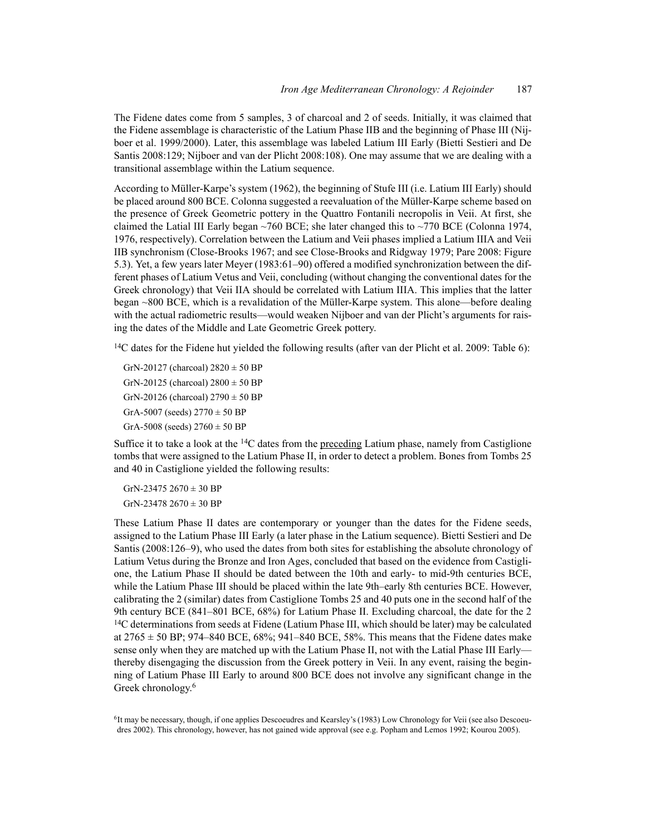The Fidene dates come from 5 samples, 3 of charcoal and 2 of seeds. Initially, it was claimed that the Fidene assemblage is characteristic of the Latium Phase IIB and the beginning of Phase III (Nijboer et al. 1999/2000). Later, this assemblage was labeled Latium III Early (Bietti Sestieri and De Santis 2008:129; Nijboer and van der Plicht 2008:108). One may assume that we are dealing with a transitional assemblage within the Latium sequence.

According to Müller-Karpe's system (1962), the beginning of Stufe III (i.e. Latium III Early) should be placed around 800 BCE. Colonna suggested a reevaluation of the Müller-Karpe scheme based on the presence of Greek Geometric pottery in the Quattro Fontanili necropolis in Veii. At first, she claimed the Latial III Early began ~760 BCE; she later changed this to ~770 BCE (Colonna 1974, 1976, respectively). Correlation between the Latium and Veii phases implied a Latium IIIA and Veii IIB synchronism (Close-Brooks 1967; and see Close-Brooks and Ridgway 1979; Pare 2008: Figure 5.3). Yet, a few years later Meyer (1983:61–90) offered a modified synchronization between the different phases of Latium Vetus and Veii, concluding (without changing the conventional dates for the Greek chronology) that Veii IIA should be correlated with Latium IIIA. This implies that the latter began ~800 BCE, which is a revalidation of the Müller-Karpe system. This alone—before dealing with the actual radiometric results—would weaken Nijboer and van der Plicht's arguments for raising the dates of the Middle and Late Geometric Greek pottery.

14C dates for the Fidene hut yielded the following results (after van der Plicht et al. 2009: Table 6):

GrN-20127 (charcoal)  $2820 \pm 50$  BP GrN-20125 (charcoal)  $2800 \pm 50$  BP GrN-20126 (charcoal)  $2790 \pm 50$  BP GrA-5007 (seeds)  $2770 \pm 50$  BP GrA-5008 (seeds)  $2760 \pm 50$  BP

Suffice it to take a look at the  ${}^{14}C$  dates from the preceding Latium phase, namely from Castiglione tombs that were assigned to the Latium Phase II, in order to detect a problem. Bones from Tombs 25 and 40 in Castiglione yielded the following results:

GrN-23475 2670  $\pm$  30 BP GrN-23478  $2670 \pm 30$  BP

These Latium Phase II dates are contemporary or younger than the dates for the Fidene seeds, assigned to the Latium Phase III Early (a later phase in the Latium sequence). Bietti Sestieri and De Santis (2008:126–9), who used the dates from both sites for establishing the absolute chronology of Latium Vetus during the Bronze and Iron Ages, concluded that based on the evidence from Castiglione, the Latium Phase II should be dated between the 10th and early- to mid-9th centuries BCE, while the Latium Phase III should be placed within the late 9th–early 8th centuries BCE. However, calibrating the 2 (similar) dates from Castiglione Tombs 25 and 40 puts one in the second half of the 9th century BCE (841–801 BCE, 68%) for Latium Phase II. Excluding charcoal, the date for the 2 <sup>14</sup>C determinations from seeds at Fidene (Latium Phase III, which should be later) may be calculated at  $2765 \pm 50$  BP; 974–840 BCE, 68%; 941–840 BCE, 58%. This means that the Fidene dates make sense only when they are matched up with the Latium Phase II, not with the Latial Phase III Early thereby disengaging the discussion from the Greek pottery in Veii. In any event, raising the beginning of Latium Phase III Early to around 800 BCE does not involve any significant change in the Greek chronology.6

6It may be necessary, though, if one applies Descoeudres and Kearsley's (1983) Low Chronology for Veii (see also Descoeudres 2002). This chronology, however, has not gained wide approval (see e.g. Popham and Lemos 1992; Kourou 2005).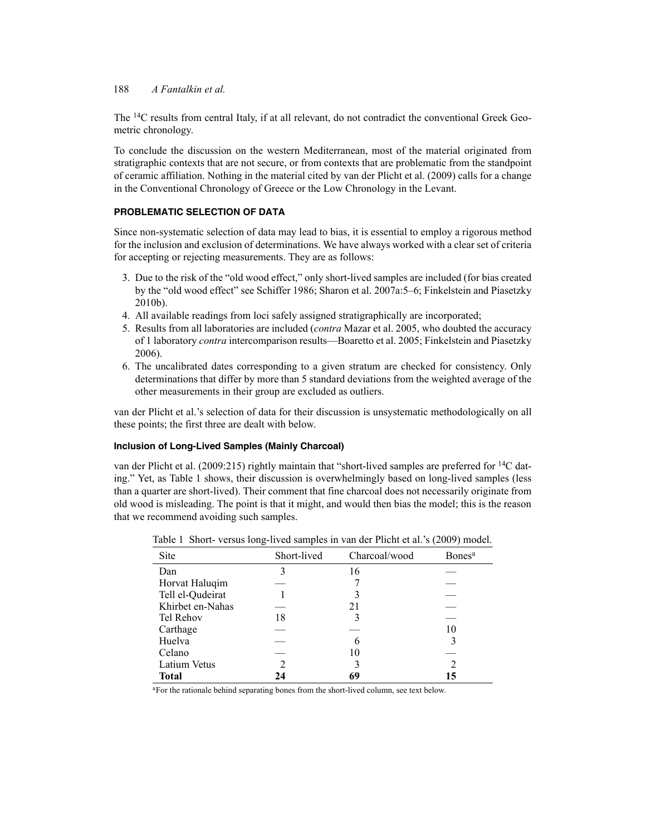The 14C results from central Italy, if at all relevant, do not contradict the conventional Greek Geometric chronology.

To conclude the discussion on the western Mediterranean, most of the material originated from stratigraphic contexts that are not secure, or from contexts that are problematic from the standpoint of ceramic affiliation. Nothing in the material cited by van der Plicht et al. (2009) calls for a change in the Conventional Chronology of Greece or the Low Chronology in the Levant.

# **PROBLEMATIC SELECTION OF DATA**

Since non-systematic selection of data may lead to bias, it is essential to employ a rigorous method for the inclusion and exclusion of determinations. We have always worked with a clear set of criteria for accepting or rejecting measurements. They are as follows:

- 3. Due to the risk of the "old wood effect," only short-lived samples are included (for bias created by the "old wood effect" see Schiffer 1986; Sharon et al. 2007a:5–6; Finkelstein and Piasetzky 2010b).
- 4. All available readings from loci safely assigned stratigraphically are incorporated;
- 5. Results from all laboratories are included (*contra* Mazar et al. 2005, who doubted the accuracy of 1 laboratory *contra* intercomparison results—Boaretto et al. 2005; Finkelstein and Piasetzky 2006).
- 6. The uncalibrated dates corresponding to a given stratum are checked for consistency. Only determinations that differ by more than 5 standard deviations from the weighted average of the other measurements in their group are excluded as outliers.

van der Plicht et al.'s selection of data for their discussion is unsystematic methodologically on all these points; the first three are dealt with below.

# **Inclusion of Long-Lived Samples (Mainly Charcoal)**

van der Plicht et al. (2009:215) rightly maintain that "short-lived samples are preferred for 14C dating." Yet, as Table 1 shows, their discussion is overwhelmingly based on long-lived samples (less than a quarter are short-lived). Their comment that fine charcoal does not necessarily originate from old wood is misleading. The point is that it might, and would then bias the model; this is the reason that we recommend avoiding such samples.

| Site             | Short-lived    | Charcoal/wood | Bones <sup>a</sup> |
|------------------|----------------|---------------|--------------------|
| Dan              | 3              | 16            |                    |
| Horvat Haluqim   |                |               |                    |
| Tell el-Qudeirat |                |               |                    |
| Khirbet en-Nahas |                | 21            |                    |
| Tel Rehov        | 18             |               |                    |
| Carthage         |                |               | 10                 |
| Huelva           |                |               |                    |
| Celano           |                | 10            |                    |
| Latium Vetus     | $\mathfrak{D}$ |               |                    |
| Total            | 24             | 69            | 15                 |

Table 1 Short- versus long-lived samples in van der Plicht et al.'s (2009) model.

aFor the rationale behind separating bones from the short-lived column, see text below.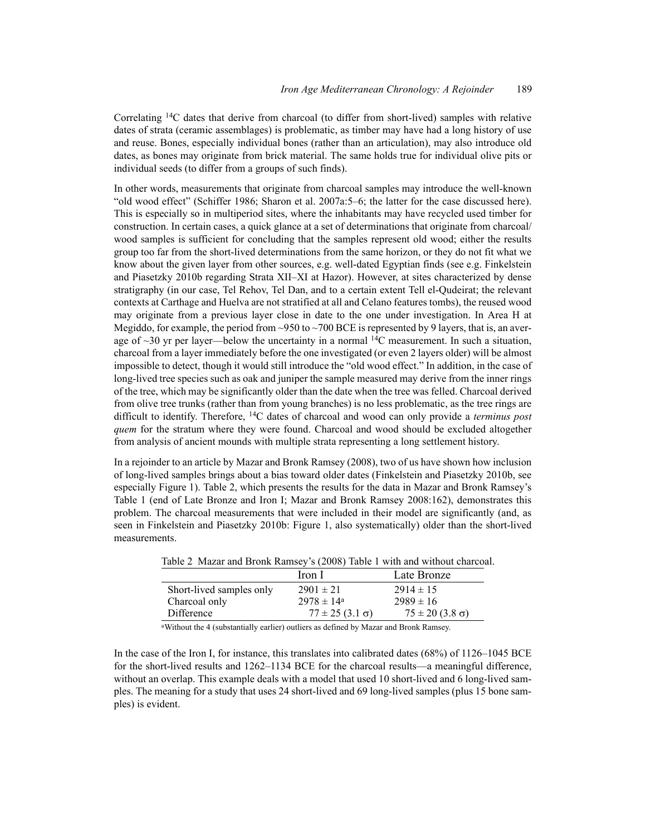Correlating 14C dates that derive from charcoal (to differ from short-lived) samples with relative dates of strata (ceramic assemblages) is problematic, as timber may have had a long history of use and reuse. Bones, especially individual bones (rather than an articulation), may also introduce old dates, as bones may originate from brick material. The same holds true for individual olive pits or individual seeds (to differ from a groups of such finds).

In other words, measurements that originate from charcoal samples may introduce the well-known "old wood effect" (Schiffer 1986; Sharon et al. 2007a:5–6; the latter for the case discussed here). This is especially so in multiperiod sites, where the inhabitants may have recycled used timber for construction. In certain cases, a quick glance at a set of determinations that originate from charcoal/ wood samples is sufficient for concluding that the samples represent old wood; either the results group too far from the short-lived determinations from the same horizon, or they do not fit what we know about the given layer from other sources, e.g. well-dated Egyptian finds (see e.g. Finkelstein and Piasetzky 2010b regarding Strata XII–XI at Hazor). However, at sites characterized by dense stratigraphy (in our case, Tel Rehov, Tel Dan, and to a certain extent Tell el-Qudeirat; the relevant contexts at Carthage and Huelva are not stratified at all and Celano features tombs), the reused wood may originate from a previous layer close in date to the one under investigation. In Area H at Megiddo, for example, the period from  $\sim$ 950 to  $\sim$ 700 BCE is represented by 9 layers, that is, an average of  $\sim$ 30 yr per layer—below the uncertainty in a normal <sup>14</sup>C measurement. In such a situation, charcoal from a layer immediately before the one investigated (or even 2 layers older) will be almost impossible to detect, though it would still introduce the "old wood effect." In addition, in the case of long-lived tree species such as oak and juniper the sample measured may derive from the inner rings of the tree, which may be significantly older than the date when the tree was felled. Charcoal derived from olive tree trunks (rather than from young branches) is no less problematic, as the tree rings are difficult to identify. Therefore, 14C dates of charcoal and wood can only provide a *terminus post quem* for the stratum where they were found. Charcoal and wood should be excluded altogether from analysis of ancient mounds with multiple strata representing a long settlement history.

In a rejoinder to an article by Mazar and Bronk Ramsey (2008), two of us have shown how inclusion of long-lived samples brings about a bias toward older dates (Finkelstein and Piasetzky 2010b, see especially Figure 1). Table 2, which presents the results for the data in Mazar and Bronk Ramsey's Table 1 (end of Late Bronze and Iron I; Mazar and Bronk Ramsey 2008:162), demonstrates this problem. The charcoal measurements that were included in their model are significantly (and, as seen in Finkelstein and Piasetzky 2010b: Figure 1, also systematically) older than the short-lived measurements.

| $1$ ave $2$ -ivid and $2$ ivid $1$ in $1$ is $1/2$ in $1/2$ in $1/2$ in $1/2$ in $1/2$ in $1/2$ in $1/2$ in $1/2$ in $1/2$ in $1/2$ in $1/2$ in $1/2$ in $1/2$ in $1/2$ in $1/2$ in $1/2$ in $1/2$ in $1/2$ in $1/2$ in $1/2$ |                          |                          |  |  |  |  |  |
|-------------------------------------------------------------------------------------------------------------------------------------------------------------------------------------------------------------------------------|--------------------------|--------------------------|--|--|--|--|--|
|                                                                                                                                                                                                                               | Iron I                   | Late Bronze              |  |  |  |  |  |
| Short-lived samples only                                                                                                                                                                                                      | $2901 \pm 21$            | $2914 \pm 15$            |  |  |  |  |  |
| Charcoal only                                                                                                                                                                                                                 | $2978 \pm 14^{\circ}$    | $2989 \pm 16$            |  |  |  |  |  |
| Difference                                                                                                                                                                                                                    | $77 \pm 25 (3.1 \sigma)$ | $75 \pm 20 (3.8 \sigma)$ |  |  |  |  |  |

Table 2 Mazar and Bronk Ramsey's (2008) Table 1 with and without charcoal.

aWithout the 4 (substantially earlier) outliers as defined by Mazar and Bronk Ramsey.

In the case of the Iron I, for instance, this translates into calibrated dates (68%) of 1126–1045 BCE for the short-lived results and 1262–1134 BCE for the charcoal results—a meaningful difference, without an overlap. This example deals with a model that used 10 short-lived and 6 long-lived samples. The meaning for a study that uses 24 short-lived and 69 long-lived samples (plus 15 bone samples) is evident.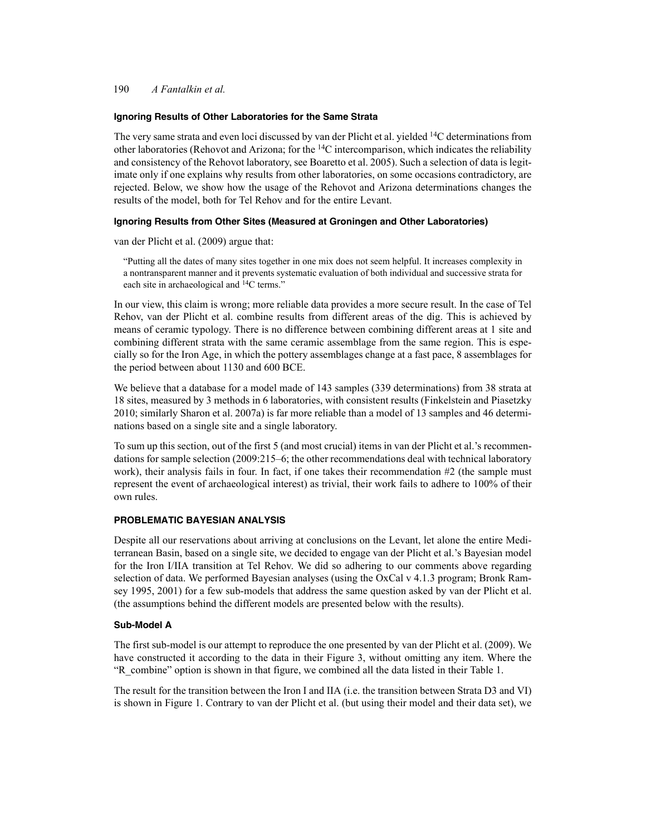### **Ignoring Results of Other Laboratories for the Same Strata**

The very same strata and even loci discussed by van der Plicht et al. yielded 14C determinations from other laboratories (Rehovot and Arizona; for the  $14C$  intercomparison, which indicates the reliability and consistency of the Rehovot laboratory, see Boaretto et al. 2005). Such a selection of data is legitimate only if one explains why results from other laboratories, on some occasions contradictory, are rejected. Below, we show how the usage of the Rehovot and Arizona determinations changes the results of the model, both for Tel Rehov and for the entire Levant.

## **Ignoring Results from Other Sites (Measured at Groningen and Other Laboratories)**

van der Plicht et al. (2009) argue that:

"Putting all the dates of many sites together in one mix does not seem helpful. It increases complexity in a nontransparent manner and it prevents systematic evaluation of both individual and successive strata for each site in archaeological and 14C terms."

In our view, this claim is wrong; more reliable data provides a more secure result. In the case of Tel Rehov, van der Plicht et al. combine results from different areas of the dig. This is achieved by means of ceramic typology. There is no difference between combining different areas at 1 site and combining different strata with the same ceramic assemblage from the same region. This is especially so for the Iron Age, in which the pottery assemblages change at a fast pace, 8 assemblages for the period between about 1130 and 600 BCE.

We believe that a database for a model made of 143 samples (339 determinations) from 38 strata at 18 sites, measured by 3 methods in 6 laboratories, with consistent results (Finkelstein and Piasetzky 2010; similarly Sharon et al. 2007a) is far more reliable than a model of 13 samples and 46 determinations based on a single site and a single laboratory.

To sum up this section, out of the first 5 (and most crucial) items in van der Plicht et al.'s recommendations for sample selection (2009:215–6; the other recommendations deal with technical laboratory work), their analysis fails in four. In fact, if one takes their recommendation #2 (the sample must represent the event of archaeological interest) as trivial, their work fails to adhere to 100% of their own rules.

### **PROBLEMATIC BAYESIAN ANALYSIS**

Despite all our reservations about arriving at conclusions on the Levant, let alone the entire Mediterranean Basin, based on a single site, we decided to engage van der Plicht et al.'s Bayesian model for the Iron I/IIA transition at Tel Rehov. We did so adhering to our comments above regarding selection of data. We performed Bayesian analyses (using the OxCal v 4.1.3 program; Bronk Ramsey 1995, 2001) for a few sub-models that address the same question asked by van der Plicht et al. (the assumptions behind the different models are presented below with the results).

#### **Sub-Model A**

The first sub-model is our attempt to reproduce the one presented by van der Plicht et al. (2009). We have constructed it according to the data in their Figure 3, without omitting any item. Where the "R\_combine" option is shown in that figure, we combined all the data listed in their Table 1.

The result for the transition between the Iron I and IIA (i.e. the transition between Strata D3 and VI) is shown in Figure 1. Contrary to van der Plicht et al. (but using their model and their data set), we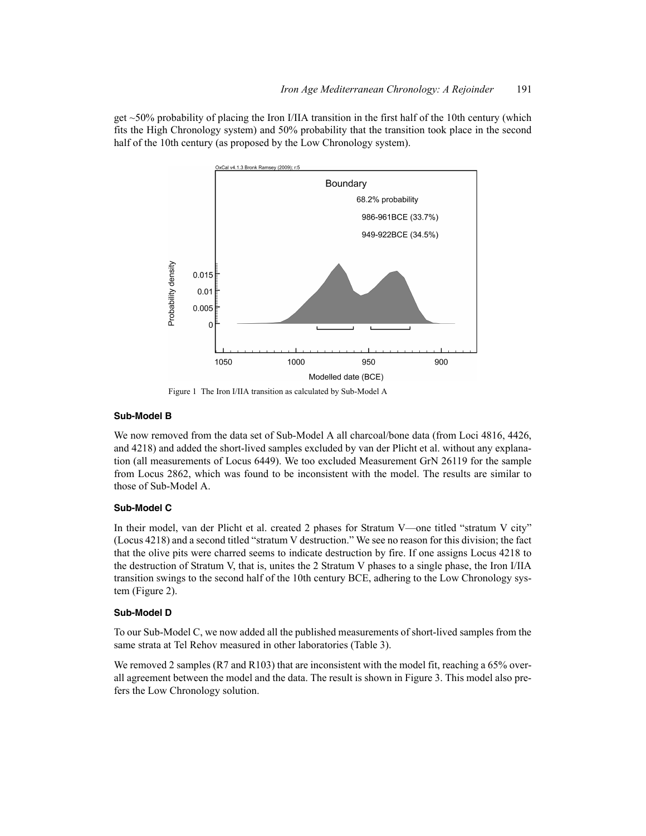get  $~50\%$  probability of placing the Iron I/IIA transition in the first half of the 10th century (which fits the High Chronology system) and 50% probability that the transition took place in the second half of the 10th century (as proposed by the Low Chronology system).



Figure 1 The Iron I/IIA transition as calculated by Sub-Model A

### **Sub-Model B**

We now removed from the data set of Sub-Model A all charcoal/bone data (from Loci 4816, 4426, and 4218) and added the short-lived samples excluded by van der Plicht et al. without any explanation (all measurements of Locus 6449). We too excluded Measurement GrN 26119 for the sample from Locus 2862, which was found to be inconsistent with the model. The results are similar to those of Sub-Model A.

### **Sub-Model C**

In their model, van der Plicht et al. created 2 phases for Stratum V—one titled "stratum V city" (Locus 4218) and a second titled "stratum V destruction." We see no reason for this division; the fact that the olive pits were charred seems to indicate destruction by fire. If one assigns Locus 4218 to the destruction of Stratum V, that is, unites the 2 Stratum V phases to a single phase, the Iron I/IIA transition swings to the second half of the 10th century BCE, adhering to the Low Chronology system (Figure 2).

### **Sub-Model D**

To our Sub-Model C, we now added all the published measurements of short-lived samples from the same strata at Tel Rehov measured in other laboratories (Table 3).

We removed 2 samples (R7 and R103) that are inconsistent with the model fit, reaching a 65% overall agreement between the model and the data. The result is shown in Figure 3. This model also prefers the Low Chronology solution.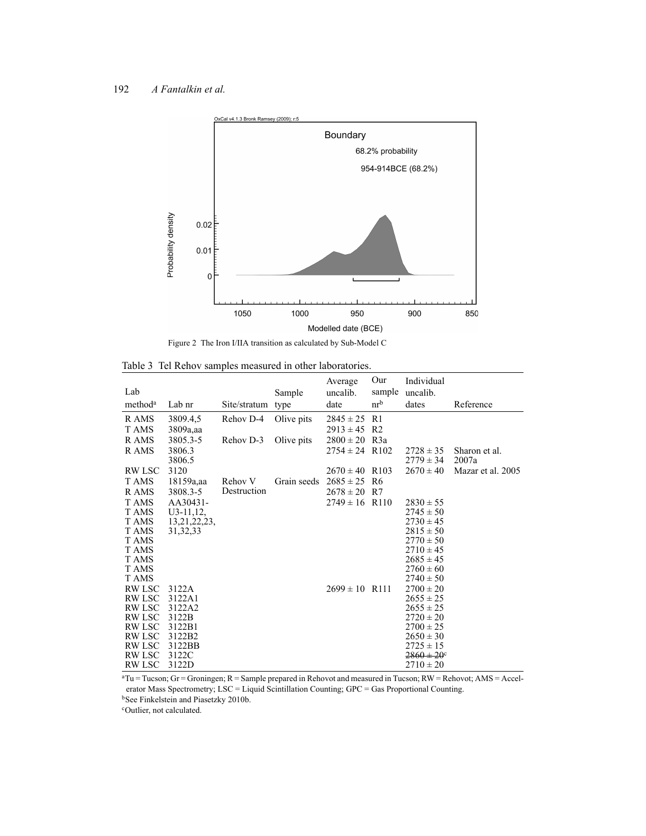



Table 3 Tel Rehov samples measured in other laboratories.

| Lab<br>method <sup>a</sup>     | Lab nr           | Site/stratum type | Sample      | Average<br>uncalib.<br>date | Our<br>sample<br>nr <sup>b</sup> | Individual<br>uncalib.<br>dates | Reference              |
|--------------------------------|------------------|-------------------|-------------|-----------------------------|----------------------------------|---------------------------------|------------------------|
| R AMS                          | 3809.4,5         | Rehov D-4         | Olive pits  | $2845 \pm 25$               | R1                               |                                 |                        |
| T AMS                          | 3809a,aa         |                   |             | $2913 \pm 45$               | R2                               |                                 |                        |
| R AMS                          | 3805.3-5         | Rehov D-3         | Olive pits  | $2800 \pm 20$               | R <sub>3</sub> a                 |                                 |                        |
| R AMS                          | 3806.3<br>3806.5 |                   |             | $2754 \pm 24$ R102          |                                  | $2728 \pm 35$<br>$2779 \pm 34$  | Sharon et al.<br>2007a |
| <b>RW LSC</b>                  | 3120             |                   |             | $2670 \pm 40$ R103          |                                  | $2670 \pm 40$                   | Mazar et al. 2005      |
| T AMS                          | 18159a,aa        | Rehov V           | Grain seeds | $2685 \pm 25$               | R6                               |                                 |                        |
| R AMS                          | 3808.3-5         | Destruction       |             | $2678 \pm 20$               | R7                               |                                 |                        |
| T AMS                          | $AA30431-$       |                   |             | $2749 \pm 16$               | R <sub>110</sub>                 | $2830 \pm 55$                   |                        |
| T AMS                          | $U3-11,12,$      |                   |             |                             |                                  | $2745 \pm 50$                   |                        |
| T AMS                          | 13, 21, 22, 23,  |                   |             |                             |                                  | $2730 \pm 45$                   |                        |
| T AMS                          | 31, 32, 33       |                   |             |                             |                                  | $2815 \pm 50$                   |                        |
| T AMS<br>T AMS                 |                  |                   |             |                             |                                  | $2770 \pm 50$<br>$2710 \pm 45$  |                        |
| T AMS                          |                  |                   |             |                             |                                  | $2685 \pm 45$                   |                        |
| T AMS                          |                  |                   |             |                             |                                  | $2760 \pm 60$                   |                        |
| T AMS                          |                  |                   |             |                             |                                  | $2740 \pm 50$                   |                        |
| <b>RW LSC</b>                  | 3122A            |                   |             | $2699 \pm 10$ R111          |                                  | $2700 \pm 20$                   |                        |
| <b>RW LSC</b>                  | 3122A1           |                   |             |                             |                                  | $2655 \pm 25$                   |                        |
| <b>RW LSC</b>                  | 3122A2           |                   |             |                             |                                  | $2655 \pm 25$                   |                        |
| <b>RW LSC</b>                  | 3122B            |                   |             |                             |                                  | $2720 \pm 20$                   |                        |
| <b>RW LSC</b>                  | 3122B1           |                   |             |                             |                                  | $2700 \pm 25$                   |                        |
| <b>RW LSC</b><br><b>RW LSC</b> | 3122B2<br>3122BB |                   |             |                             |                                  | $2650 \pm 30$<br>$2725 \pm 15$  |                        |
| RW LSC                         | 3122C            |                   |             |                             |                                  | $2860 \pm 20$ <sup>c</sup>      |                        |
| <b>RW LSC</b>                  | 3122D            |                   |             |                             |                                  | $2710 \pm 20$                   |                        |

 $aTu = Tucson$ ;  $Gr = Groningen$ ;  $R = Sample prepared$  in Rehovot and measured in Tucson;  $RW = Rehovot$ ;  $AMS = Accel$ erator Mass Spectrometry; LSC = Liquid Scintillation Counting; GPC = Gas Proportional Counting. bSee Finkelstein and Piasetzky 2010b.

cOutlier, not calculated.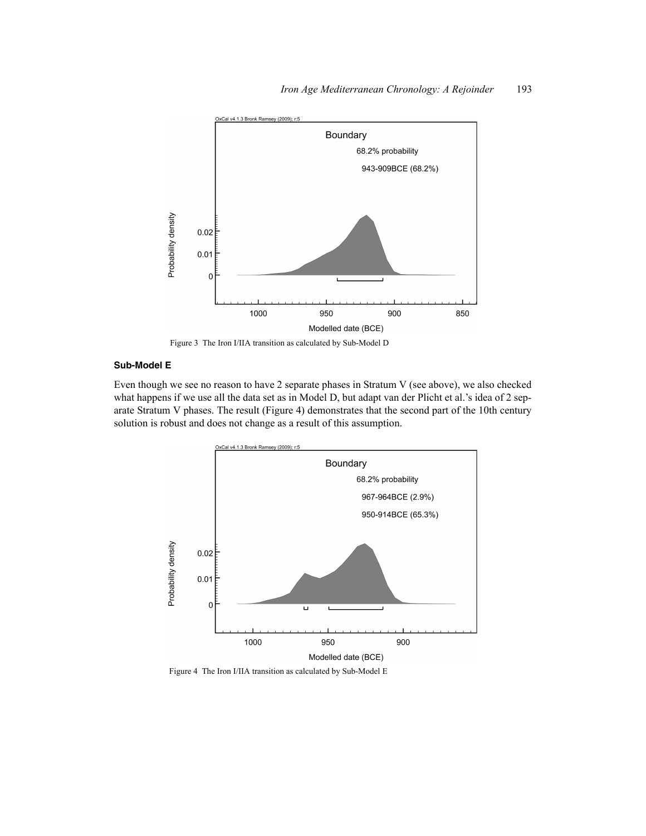

Figure 3 The Iron I/IIA transition as calculated by Sub-Model D

# **Sub-Model E**

Even though we see no reason to have 2 separate phases in Stratum V (see above), we also checked what happens if we use all the data set as in Model D, but adapt van der Plicht et al.'s idea of 2 separate Stratum V phases. The result (Figure 4) demonstrates that the second part of the 10th century solution is robust and does not change as a result of this assumption.



Figure 4 The Iron I/IIA transition as calculated by Sub-Model E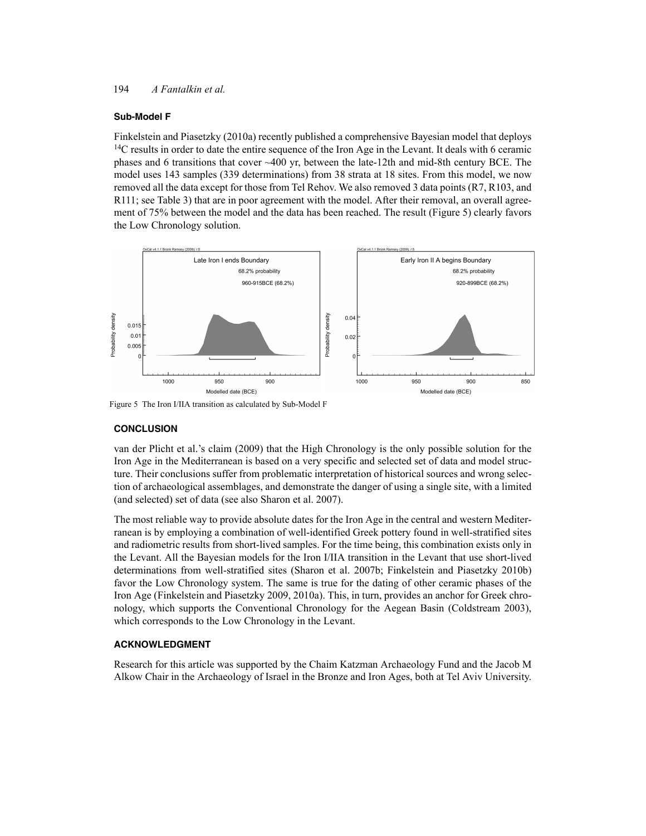### **Sub-Model F**

Finkelstein and Piasetzky (2010a) recently published a comprehensive Bayesian model that deploys <sup>14</sup>C results in order to date the entire sequence of the Iron Age in the Levant. It deals with 6 ceramic phases and 6 transitions that cover ~400 yr, between the late-12th and mid-8th century BCE. The model uses 143 samples (339 determinations) from 38 strata at 18 sites. From this model, we now removed all the data except for those from Tel Rehov. We also removed 3 data points (R7, R103, and R111; see Table 3) that are in poor agreement with the model. After their removal, an overall agreement of 75% between the model and the data has been reached. The result (Figure 5) clearly favors the Low Chronology solution.



Figure 5 The Iron I/IIA transition as calculated by Sub-Model F

### **CONCLUSION**

van der Plicht et al.'s claim (2009) that the High Chronology is the only possible solution for the Iron Age in the Mediterranean is based on a very specific and selected set of data and model structure. Their conclusions suffer from problematic interpretation of historical sources and wrong selection of archaeological assemblages, and demonstrate the danger of using a single site, with a limited (and selected) set of data (see also Sharon et al. 2007).

The most reliable way to provide absolute dates for the Iron Age in the central and western Mediterranean is by employing a combination of well-identified Greek pottery found in well-stratified sites and radiometric results from short-lived samples. For the time being, this combination exists only in the Levant. All the Bayesian models for the Iron I/IIA transition in the Levant that use short-lived determinations from well-stratified sites (Sharon et al. 2007b; Finkelstein and Piasetzky 2010b) favor the Low Chronology system. The same is true for the dating of other ceramic phases of the Iron Age (Finkelstein and Piasetzky 2009, 2010a). This, in turn, provides an anchor for Greek chronology, which supports the Conventional Chronology for the Aegean Basin (Coldstream 2003), which corresponds to the Low Chronology in the Levant.

# **ACKNOWLEDGMENT**

Research for this article was supported by the Chaim Katzman Archaeology Fund and the Jacob M Alkow Chair in the Archaeology of Israel in the Bronze and Iron Ages, both at Tel Aviv University.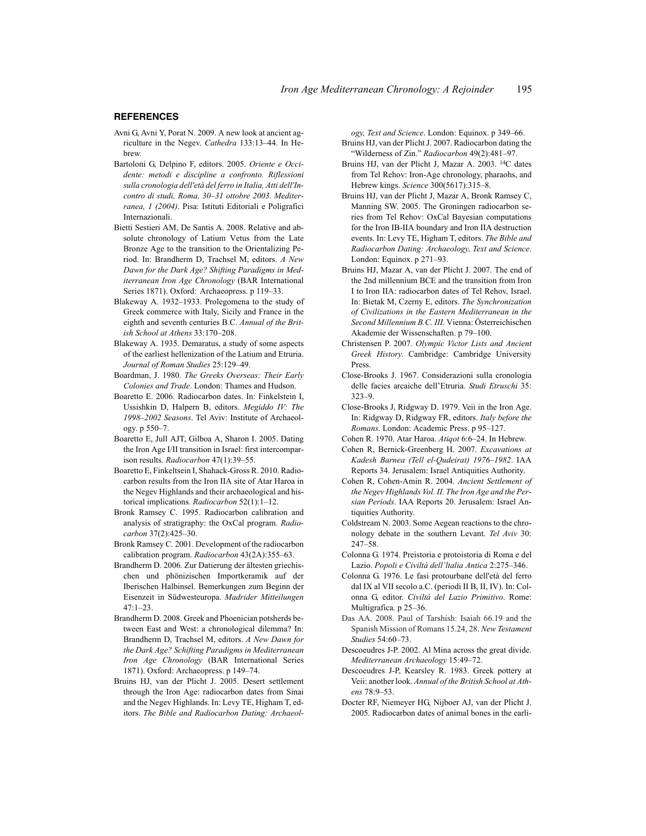#### **REFERENCES**

- Avni G, Avni Y, Porat N. 2009. A new look at ancient agriculture in the Negev. *Cathedra* 133:13–44. In Hebrew.
- Bartoloni G, Delpino F, editors. 2005. *Oriente e Occidente: metodi e discipline a confronto. Riflessioni sulla cronologia dell'età del ferro in Italia, Atti dell'Incontro di studi, Roma, 30–31 ottobre 2003. Mediterranea, 1 (2004)*. Pisa: Istituti Editoriali e Poligrafici Internazionali.
- Bietti Sestieri AM, De Santis A. 2008. Relative and absolute chronology of Latium Vetus from the Late Bronze Age to the transition to the Orientalizing Period. In: Brandherm D, Trachsel M, editors. *A New Dawn for the Dark Age? Shifting Paradigms in Mediterranean Iron Age Chronology* (BAR International Series 1871). Oxford: Archaeopress. p 119–33.
- Blakeway A. 1932–1933. Prolegomena to the study of Greek commerce with Italy, Sicily and France in the eighth and seventh centuries B.C. *Annual of the British School at Athens* 33:170–208.
- Blakeway A. 1935. Demaratus, a study of some aspects of the earliest hellenization of the Latium and Etruria. *Journal of Roman Studies* 25:129–49.
- Boardman, J. 1980. *The Greeks Overseas: Their Early Colonies and Trade*. London: Thames and Hudson.
- Boaretto E. 2006. Radiocarbon dates. In: Finkelstein I, Ussishkin D, Halpern B, editors. *Megiddo IV: The 1998–2002 Seasons*. Tel Aviv: Institute of Archaeology. p 550–7.
- Boaretto E, Jull AJT, Gilboa A, Sharon I. 2005. Dating the Iron Age I/II transition in Israel: first intercomparison results. *Radiocarbon* 47(1):39–55.
- Boaretto E, Finkeltsein I, Shahack-Gross R. 2010. Radiocarbon results from the Iron IIA site of Atar Haroa in the Negev Highlands and their archaeological and historical implications. *Radiocarbon* 52(1):1–12.
- Bronk Ramsey C. 1995. Radiocarbon calibration and analysis of stratigraphy: the OxCal program. *Radiocarbon* 37(2):425–30.
- Bronk Ramsey C. 2001. Development of the radiocarbon calibration program. *Radiocarbon* 43(2A):355–63.
- Brandherm D. 2006. Zur Datierung der ältesten griechischen und phönizischen Importkeramik auf der Iberischen Halbinsel. Bemerkungen zum Beginn der Eisenzeit in Südwesteuropa. *Madrider Mitteilungen*  $47.1 - 23$
- Brandherm D. 2008. Greek and Phoenician potsherds between East and West: a chronological dilemma? In: Brandherm D, Trachsel M, editors. *A New Dawn for the Dark Age? Schifting Paradigms in Mediterranean Iron Age Chronology* (BAR International Series 1871). Oxford: Archaeopress. p 149–74.
- Bruins HJ, van der Plicht J. 2005. Desert settlement through the Iron Age: radiocarbon dates from Sinai and the Negev Highlands. In: Levy TE, Higham T, editors. *The Bible and Radiocarbon Dating: Archaeol-*

*ogy, Text and Science*. London: Equinox. p 349–66. Bruins HJ, van der Plicht J. 2007. Radiocarbon dating the "Wilderness of Zin." *Radiocarbon* 49(2):481–97.

- Bruins HJ, van der Plicht J, Mazar A. 2003. 14C dates from Tel Rehov: Iron-Age chronology, pharaohs, and Hebrew kings. *Science* 300(5617):315–8.
- Bruins HJ, van der Plicht J, Mazar A, Bronk Ramsey C, Manning SW. 2005. The Groningen radiocarbon series from Tel Rehov: OxCal Bayesian computations for the Iron IB-IIA boundary and Iron IIA destruction events. In: Levy TE, Higham T, editors. *The Bible and Radiocarbon Dating: Archaeology, Text and Science*. London: Equinox. p 271–93.
- Bruins HJ, Mazar A, van der Plicht J. 2007. The end of the 2nd millennium BCE and the transition from Iron I to Iron IIA: radiocarbon dates of Tel Rehov, Israel. In: Bietak M, Czerny E, editors. *The Synchronization of Civilizations in the Eastern Mediterranean in the Second Millennium B.C. III*. Vienna: Österreichischen Akademie der Wissenschaften. p 79–100.
- Christensen P. 2007. *Olympic Victor Lists and Ancient Greek History*. Cambridge: Cambridge University Press.
- Close-Brooks J. 1967. Considerazioni sulla cronologia delle facies arcaiche dell'Etruria. *Studi Etruschi* 35:  $323 - 9$
- Close-Brooks J, Ridgway D. 1979. Veii in the Iron Age. In: Ridgway D, Ridgway FR, editors. *Italy before the Romans*. London: Academic Press. p 95–127.
- Cohen R. 1970. Atar Haroa. *Atiqot* 6:6–24. In Hebrew.
- Cohen R, Bernick-Greenberg H. 2007. *Excavations at Kadesh Barnea (Tell el-Qudeirat) 1976–1982*. IAA Reports 34. Jerusalem: Israel Antiquities Authority.
- Cohen R, Cohen-Amin R. 2004. *Ancient Settlement of the Negev Highlands Vol. II. The Iron Age and the Persian Periods*. IAA Reports 20. Jerusalem: Israel Antiquities Authority.
- Coldstream N. 2003. Some Aegean reactions to the chronology debate in the southern Levant. *Tel Aviv* 30: 247–58.
- Colonna G. 1974. Preistoria e protoistoria di Roma e del Lazio. *Popoli e Civiltà dell'ltalia Antica* 2:275–346.
- Colonna G. 1976. Le fasi protourbane dell'età del ferro dal IX al VII secolo a.C. (periodi II B, II, IV). In: Colonna G, editor. *Civiltà del Lazio Primitivo*. Rome: Multigrafica. p 25–36.
- Das AA. 2008. Paul of Tarshish: Isaiah 66.19 and the Spanish Mission of Romans 15.24, 28. *New Testament Studies* 54:60–73.
- Descoeudres J-P. 2002. Al Mina across the great divide. *Mediterranean Archaeology* 15:49–72.
- Descoeudres J-P, Kearsley R. 1983. Greek pottery at Veii: another look. *Annual of the British School at Athens* 78:9–53.
- Docter RF, Niemeyer HG, Nijboer AJ, van der Plicht J. 2005. Radiocarbon dates of animal bones in the earli-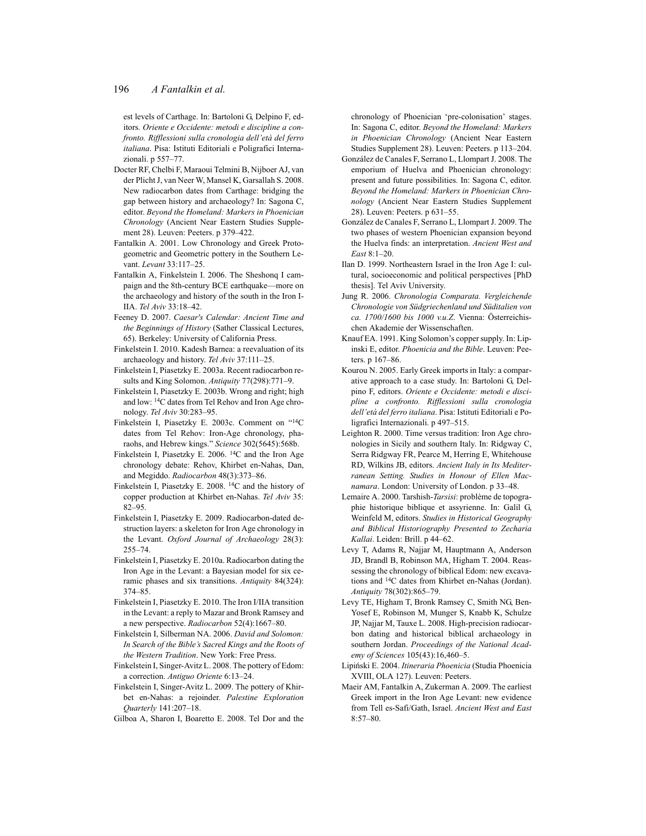est levels of Carthage. In: Bartoloni G, Delpino F, editors. *Oriente e Occidente: metodi e discipline a confronto. Rifflessioni sulla cronologia dell'età del ferro italiana*. Pisa: Istituti Editoriali e Poligrafici Internazionali. p 557–77.

- Docter RF, Chelbi F, Maraoui Telmini B, Nijboer AJ, van der Plicht J, van Neer W, Mansel K, Garsallah S. 2008. New radiocarbon dates from Carthage: bridging the gap between history and archaeology? In: Sagona C, editor. *Beyond the Homeland: Markers in Phoenician Chronology* (Ancient Near Eastern Studies Supplement 28). Leuven: Peeters. p 379–422.
- Fantalkin A. 2001. Low Chronology and Greek Protogeometric and Geometric pottery in the Southern Levant. *Levant* 33:117–25.
- Fantalkin A, Finkelstein I. 2006. The Sheshonq I campaign and the 8th-century BCE earthquake—more on the archaeology and history of the south in the Iron I-IIA. *Tel Aviv* 33:18–42.
- Feeney D. 2007. *Caesar's Calendar: Ancient Time and the Beginnings of History* (Sather Classical Lectures, 65). Berkeley: University of California Press.
- Finkelstein I. 2010. Kadesh Barnea: a reevaluation of its archaeology and history. *Tel Aviv* 37:111–25.
- Finkelstein I, Piasetzky E. 2003a. Recent radiocarbon results and King Solomon. *Antiquity* 77(298):771–9.
- Finkelstein I, Piasetzky E. 2003b. Wrong and right; high and low: 14C dates from Tel Rehov and Iron Age chronology. *Tel Aviv* 30:283–95.
- Finkelstein I, Piasetzky E. 2003c. Comment on "14C dates from Tel Rehov: Iron-Age chronology, pharaohs, and Hebrew kings." *Science* 302(5645):568b.
- Finkelstein I, Piasetzky E. 2006. 14C and the Iron Age chronology debate: Rehov, Khirbet en-Nahas, Dan, and Megiddo. *Radiocarbon* 48(3):373–86.
- Finkelstein I, Piasetzky E. 2008. 14C and the history of copper production at Khirbet en-Nahas. *Tel Aviv* 35: 82–95.
- Finkelstein I, Piasetzky E. 2009. Radiocarbon-dated destruction layers: a skeleton for Iron Age chronology in the Levant. *Oxford Journal of Archaeology* 28(3): 255–74.
- Finkelstein I, Piasetzky E. 2010a. Radiocarbon dating the Iron Age in the Levant: a Bayesian model for six ceramic phases and six transitions. *Antiquity* 84(324): 374–85.
- Finkelstein I, Piasetzky E. 2010. The Iron I/IIA transition in the Levant: a reply to Mazar and Bronk Ramsey and a new perspective. *Radiocarbon* 52(4):1667–80.
- Finkelstein I, Silberman NA. 2006. *David and Solomon: In Search of the Bible's Sacred Kings and the Roots of the Western Tradition*. New York: Free Press.
- Finkelstein I, Singer-Avitz L. 2008. The pottery of Edom: a correction. *Antiguo Oriente* 6:13–24.
- Finkelstein I, Singer-Avitz L. 2009. The pottery of Khirbet en-Nahas: a rejoinder. *Palestine Exploration Quarterly* 141:207–18.
- Gilboa A, Sharon I, Boaretto E. 2008. Tel Dor and the

chronology of Phoenician 'pre-colonisation' stages. In: Sagona C, editor. *Beyond the Homeland: Markers in Phoenician Chronology* (Ancient Near Eastern Studies Supplement 28). Leuven: Peeters. p 113–204.

- González de Canales F, Serrano L, Llompart J. 2008. The emporium of Huelva and Phoenician chronology: present and future possibilities. In: Sagona C, editor. *Beyond the Homeland: Markers in Phoenician Chronology* (Ancient Near Eastern Studies Supplement 28). Leuven: Peeters. p 631–55.
- González de Canales F, Serrano L, Llompart J. 2009. The two phases of western Phoenician expansion beyond the Huelva finds: an interpretation. *Ancient West and East* 8:1–20.
- Ilan D. 1999. Northeastern Israel in the Iron Age I: cultural, socioeconomic and political perspectives [PhD thesis]. Tel Aviv University.
- Jung R. 2006. *Chronologia Comparata. Vergleichende Chronologie von Südgriechenland und Süditalien von ca. 1700/1600 bis 1000 v.u.Z*. Vienna: Österreichischen Akademie der Wissenschaften.
- Knauf EA. 1991. King Solomon's copper supply. In: Lipinski E, editor. *Phoenicia and the Bible*. Leuven: Peeters. p 167–86.
- Kourou N. 2005. Early Greek imports in Italy: a comparative approach to a case study. In: Bartoloni G, Delpino F, editors. *Oriente e Occidente: metodi e discipline a confronto. Rifflessioni sulla cronologia dell'età del ferro italiana*. Pisa: Istituti Editoriali e Poligrafici Internazionali. p 497–515.
- Leighton R. 2000. Time versus tradition: Iron Age chronologies in Sicily and southern Italy. In: Ridgway C, Serra Ridgway FR, Pearce M, Herring E, Whitehouse RD, Wilkins JB, editors. *Ancient Italy in Its Mediterranean Setting. Studies in Honour of Ellen Macnamara*. London: University of London. p 33–48.
- Lemaire A. 2000. Tarshish-*Tarsisi*: problème de topographie historique biblique et assyrienne. In: Galil G, Weinfeld M, editors. *Studies in Historical Geography and Biblical Historiography Presented to Zecharia Kallai*. Leiden: Brill. p 44–62.
- Levy T, Adams R, Najjar M, Hauptmann A, Anderson JD, Brandl B, Robinson MA, Higham T. 2004. Reassessing the chronology of biblical Edom: new excavations and 14C dates from Khirbet en-Nahas (Jordan). *Antiquity* 78(302):865–79.
- Levy TE, Higham T, Bronk Ramsey C, Smith NG, Ben-Yosef E, Robinson M, Munger S, Knabb K, Schulze JP, Najjar M, Tauxe L. 2008. High-precision radiocarbon dating and historical biblical archaeology in southern Jordan. *Proceedings of the National Academy of Sciences* 105(43):16,460–5.
- Lipiński E. 2004. *Itineraria Phoenicia* (Studia Phoenicia XVIII, OLA 127). Leuven: Peeters.
- Maeir AM, Fantalkin A, Zukerman A. 2009. The earliest Greek import in the Iron Age Levant: new evidence from Tell es-Safi/Gath, Israel. *Ancient West and East* 8:57–80.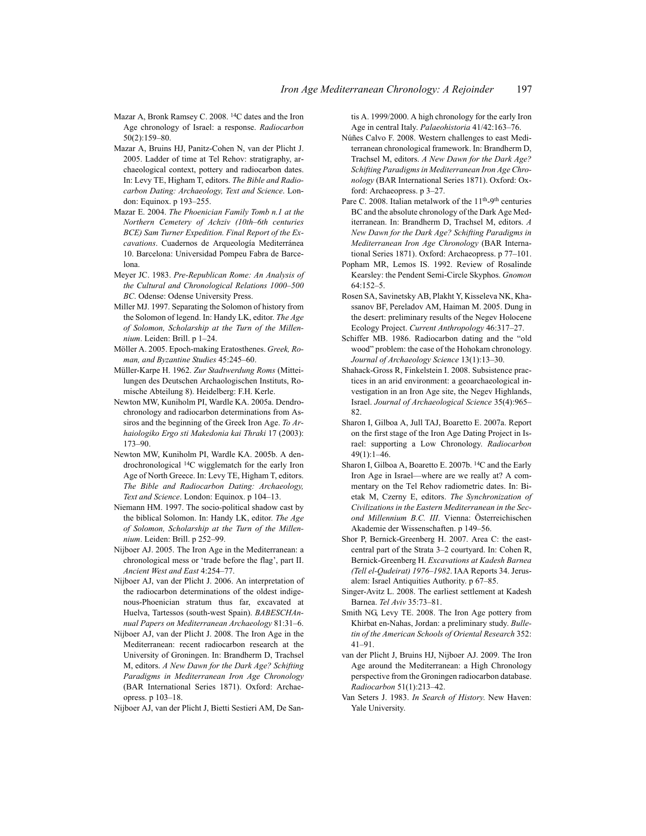- Mazar A, Bronk Ramsey C. 2008. 14C dates and the Iron Age chronology of Israel: a response. *Radiocarbon* 50(2):159–80.
- Mazar A, Bruins HJ, Panitz-Cohen N, van der Plicht J. 2005. Ladder of time at Tel Rehov: stratigraphy, archaeological context, pottery and radiocarbon dates. In: Levy TE, Higham T, editors. *The Bible and Radiocarbon Dating: Archaeology, Text and Science*. London: Equinox. p 193–255.
- Mazar E. 2004. *The Phoenician Family Tomb n.1 at the Northern Cemetery of Achziv (10th*–*6th centuries BCE) Sam Turner Expedition. Final Report of the Excavations*. Cuadernos de Arqueología Mediterránea 10. Barcelona: Universidad Pompeu Fabra de Barcelona.
- Meyer JC. 1983. *Pre-Republican Rome: An Analysis of the Cultural and Chronological Relations 1000–500 BC*. Odense: Odense University Press.
- Miller MJ. 1997. Separating the Solomon of history from the Solomon of legend. In: Handy LK, editor. *The Age of Solomon, Scholarship at the Turn of the Millennium*. Leiden: Brill. p 1–24.
- Möller A. 2005. Epoch-making Eratosthenes. *Greek, Roman, and Byzantine Studies* 45:245–60.
- Müller-Karpe H. 1962. *Zur Stadtwerdung Roms* (Mitteilungen des Deutschen Archaologischen Instituts, Romische Abteilung 8). Heidelberg: F.H. Kerle.
- Newton MW, Kuniholm PI, Wardle KA. 2005a. Dendrochronology and radiocarbon determinations from Assiros and the beginning of the Greek Iron Age. *To Arhaiologiko Ergo sti Makedonia kai Thraki* 17 (2003): 173–90.
- Newton MW, Kuniholm PI, Wardle KA. 2005b. A dendrochronological 14C wigglematch for the early Iron Age of North Greece. In: Levy TE, Higham T, editors. *The Bible and Radiocarbon Dating: Archaeology, Text and Science*. London: Equinox. p 104–13.
- Niemann HM. 1997. The socio-political shadow cast by the biblical Solomon. In: Handy LK, editor. *The Age of Solomon, Scholarship at the Turn of the Millennium*. Leiden: Brill. p 252–99.
- Nijboer AJ. 2005. The Iron Age in the Mediterranean: a chronological mess or 'trade before the flag', part II. *Ancient West and East* 4:254–77.
- Nijboer AJ, van der Plicht J. 2006. An interpretation of the radiocarbon determinations of the oldest indigenous-Phoenician stratum thus far, excavated at Huelva, Tartessos (south-west Spain). *BABESCHAnnual Papers on Mediterranean Archaeology* 81:31–6.
- Nijboer AJ, van der Plicht J. 2008. The Iron Age in the Mediterranean: recent radiocarbon research at the University of Groningen. In: Brandherm D, Trachsel M, editors. *A New Dawn for the Dark Age? Schifting Paradigms in Mediterranean Iron Age Chronology* (BAR International Series 1871). Oxford: Archaeopress. p 103–18.
- Nijboer AJ, van der Plicht J, Bietti Sestieri AM, De San-

tis A. 1999/2000. A high chronology for the early Iron Age in central Italy. *Palaeohistoria* 41/42:163–76.

- Núñes Calvo F. 2008. Western challenges to east Mediterranean chronological framework. In: Brandherm D, Trachsel M, editors. *A New Dawn for the Dark Age? Schifting Paradigms in Mediterranean Iron Age Chronology* (BAR International Series 1871). Oxford: Oxford: Archaeopress. p 3–27.
- Pare C. 2008. Italian metalwork of the 11<sup>th</sup>-9<sup>th</sup> centuries BC and the absolute chronology of the Dark Age Mediterranean. In: Brandherm D, Trachsel M, editors. *A New Dawn for the Dark Age? Schifting Paradigms in Mediterranean Iron Age Chronology* (BAR International Series 1871). Oxford: Archaeopress. p 77–101.
- Popham MR, Lemos IS. 1992. Review of Rosalinde Kearsley: the Pendent Semi-Circle Skyphos. *Gnomon* 64:152–5.
- Rosen SA, Savinetsky AB, Plakht Y, Kisseleva NK, Khassanov BF, Pereladov AM, Haiman M. 2005. Dung in the desert: preliminary results of the Negev Holocene Ecology Project. *Current Anthropology* 46:317–27.
- Schiffer MB. 1986. Radiocarbon dating and the "old wood" problem: the case of the Hohokam chronology. *Journal of Archaeology Science* 13(1):13–30.
- Shahack-Gross R, Finkelstein I. 2008. Subsistence practices in an arid environment: a geoarchaeological investigation in an Iron Age site, the Negev Highlands, Israel. *Journal of Archaeological Science* 35(4):965– 82.
- Sharon I, Gilboa A, Jull TAJ, Boaretto E. 2007a. Report on the first stage of the Iron Age Dating Project in Israel: supporting a Low Chronology. *Radiocarbon* 49(1):1–46.
- Sharon I, Gilboa A, Boaretto E. 2007b. 14C and the Early Iron Age in Israel—where are we really at? A commentary on the Tel Rehov radiometric dates. In: Bietak M, Czerny E, editors. *The Synchronization of Civilizations in the Eastern Mediterranean in the Second Millennium B.C. III*. Vienna: Österreichischen Akademie der Wissenschaften. p 149–56.
- Shor P, Bernick-Greenberg H. 2007. Area C: the eastcentral part of the Strata 3–2 courtyard. In: Cohen R, Bernick-Greenberg H. *Excavations at Kadesh Barnea (Tell el-Qudeirat) 1976–1982*. IAA Reports 34. Jerusalem: Israel Antiquities Authority. p 67–85.
- Singer-Avitz L. 2008. The earliest settlement at Kadesh Barnea. *Tel Aviv* 35:73–81.
- Smith NG, Levy TE. 2008. The Iron Age pottery from Khirbat en-Nahas, Jordan: a preliminary study. *Bulletin of the American Schools of Oriental Research* 352: 41–91.
- van der Plicht J, Bruins HJ, Nijboer AJ. 2009. The Iron Age around the Mediterranean: a High Chronology perspective from the Groningen radiocarbon database. *Radiocarbon* 51(1):213–42.
- Van Seters J. 1983. *In Search of History*. New Haven: Yale University.